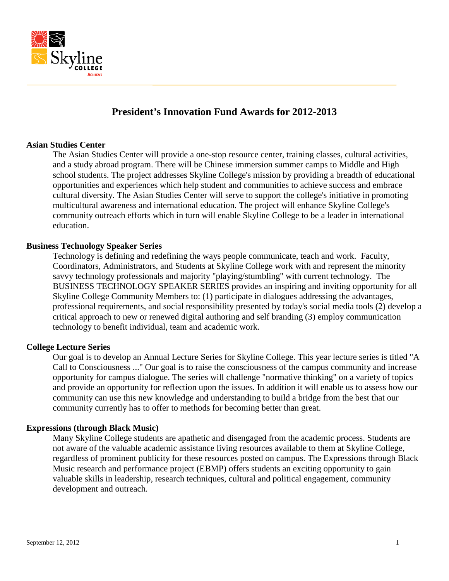

# **President's Innovation Fund Awards for 2012-2013**

## **Asian Studies Center**

The Asian Studies Center will provide a one-stop resource center, training classes, cultural activities, and a study abroad program. There will be Chinese immersion summer camps to Middle and High school students. The project addresses Skyline College's mission by providing a breadth of educational opportunities and experiences which help student and communities to achieve success and embrace cultural diversity. The Asian Studies Center will serve to support the college's initiative in promoting multicultural awareness and international education. The project will enhance Skyline College's community outreach efforts which in turn will enable Skyline College to be a leader in international education.

## **Business Technology Speaker Series**

Technology is defining and redefining the ways people communicate, teach and work. Faculty, Coordinators, Administrators, and Students at Skyline College work with and represent the minority savvy technology professionals and majority "playing/stumbling" with current technology. The BUSINESS TECHNOLOGY SPEAKER SERIES provides an inspiring and inviting opportunity for all Skyline College Community Members to: (1) participate in dialogues addressing the advantages, professional requirements, and social responsibility presented by today's social media tools (2) develop a critical approach to new or renewed digital authoring and self branding (3) employ communication technology to benefit individual, team and academic work.

## **College Lecture Series**

Our goal is to develop an Annual Lecture Series for Skyline College. This year lecture series is titled "A Call to Consciousness ..." Our goal is to raise the consciousness of the campus community and increase opportunity for campus dialogue. The series will challenge "normative thinking" on a variety of topics and provide an opportunity for reflection upon the issues. In addition it will enable us to assess how our community can use this new knowledge and understanding to build a bridge from the best that our community currently has to offer to methods for becoming better than great.

#### **Expressions (through Black Music)**

Many Skyline College students are apathetic and disengaged from the academic process. Students are not aware of the valuable academic assistance living resources available to them at Skyline College, regardless of prominent publicity for these resources posted on campus. The Expressions through Black Music research and performance project (EBMP) offers students an exciting opportunity to gain valuable skills in leadership, research techniques, cultural and political engagement, community development and outreach.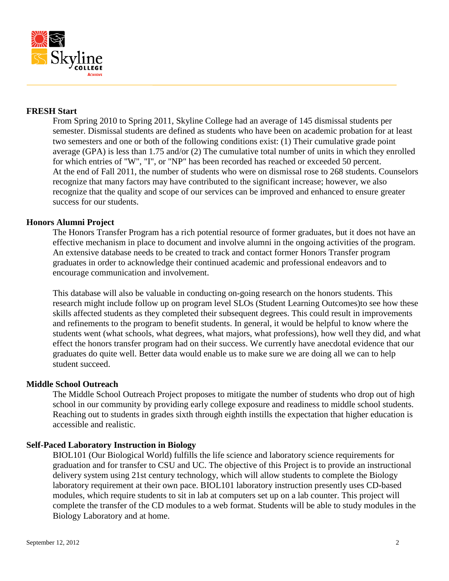

# **FRESH Start**

From Spring 2010 to Spring 2011, Skyline College had an average of 145 dismissal students per semester. Dismissal students are defined as students who have been on academic probation for at least two semesters and one or both of the following conditions exist: (1) Their cumulative grade point average (GPA) is less than 1.75 and/or (2) The cumulative total number of units in which they enrolled for which entries of "W", "I", or "NP" has been recorded has reached or exceeded 50 percent. At the end of Fall 2011, the number of students who were on dismissal rose to 268 students. Counselors recognize that many factors may have contributed to the significant increase; however, we also recognize that the quality and scope of our services can be improved and enhanced to ensure greater success for our students.

## **Honors Alumni Project**

The Honors Transfer Program has a rich potential resource of former graduates, but it does not have an effective mechanism in place to document and involve alumni in the ongoing activities of the program. An extensive database needs to be created to track and contact former Honors Transfer program graduates in order to acknowledge their continued academic and professional endeavors and to encourage communication and involvement.

This database will also be valuable in conducting on-going research on the honors students. This research might include follow up on program level SLOs (Student Learning Outcomes)to see how these skills affected students as they completed their subsequent degrees. This could result in improvements and refinements to the program to benefit students. In general, it would be helpful to know where the students went (what schools, what degrees, what majors, what professions), how well they did, and what effect the honors transfer program had on their success. We currently have anecdotal evidence that our graduates do quite well. Better data would enable us to make sure we are doing all we can to help student succeed.

#### **Middle School Outreach**

The Middle School Outreach Project proposes to mitigate the number of students who drop out of high school in our community by providing early college exposure and readiness to middle school students. Reaching out to students in grades sixth through eighth instills the expectation that higher education is accessible and realistic.

## **Self-Paced Laboratory Instruction in Biology**

BIOL101 (Our Biological World) fulfills the life science and laboratory science requirements for graduation and for transfer to CSU and UC. The objective of this Project is to provide an instructional delivery system using 21st century technology, which will allow students to complete the Biology laboratory requirement at their own pace. BIOL101 laboratory instruction presently uses CD-based modules, which require students to sit in lab at computers set up on a lab counter. This project will complete the transfer of the CD modules to a web format. Students will be able to study modules in the Biology Laboratory and at home.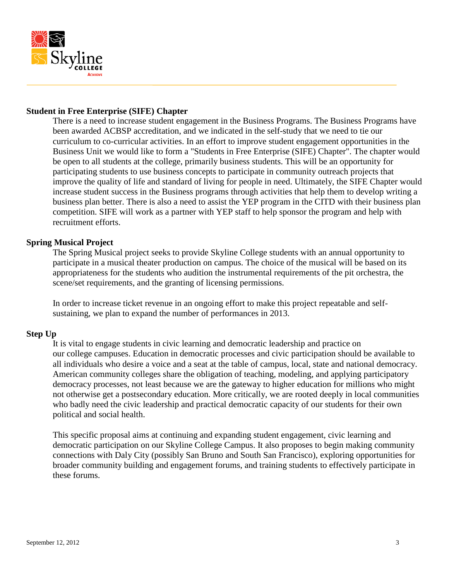

## **Student in Free Enterprise (SIFE) Chapter**

There is a need to increase student engagement in the Business Programs. The Business Programs have been awarded ACBSP accreditation, and we indicated in the self-study that we need to tie our curriculum to co-curricular activities. In an effort to improve student engagement opportunities in the Business Unit we would like to form a "Students in Free Enterprise (SIFE) Chapter". The chapter would be open to all students at the college, primarily business students. This will be an opportunity for participating students to use business concepts to participate in community outreach projects that improve the quality of life and standard of living for people in need. Ultimately, the SIFE Chapter would increase student success in the Business programs through activities that help them to develop writing a business plan better. There is also a need to assist the YEP program in the CITD with their business plan competition. SIFE will work as a partner with YEP staff to help sponsor the program and help with recruitment efforts.

## **Spring Musical Project**

The Spring Musical project seeks to provide Skyline College students with an annual opportunity to participate in a musical theater production on campus. The choice of the musical will be based on its appropriateness for the students who audition the instrumental requirements of the pit orchestra, the scene/set requirements, and the granting of licensing permissions.

In order to increase ticket revenue in an ongoing effort to make this project repeatable and selfsustaining, we plan to expand the number of performances in 2013.

## **Step Up**

It is vital to engage students in civic learning and democratic leadership and practice on our college campuses. Education in democratic processes and civic participation should be available to all individuals who desire a voice and a seat at the table of campus, local, state and national democracy. American community colleges share the obligation of teaching, modeling, and applying participatory democracy processes, not least because we are the gateway to higher education for millions who might not otherwise get a postsecondary education. More critically, we are rooted deeply in local communities who badly need the civic leadership and practical democratic capacity of our students for their own political and social health.

This specific proposal aims at continuing and expanding student engagement, civic learning and democratic participation on our Skyline College Campus. It also proposes to begin making community connections with Daly City (possibly San Bruno and South San Francisco), exploring opportunities for broader community building and engagement forums, and training students to effectively participate in these forums.